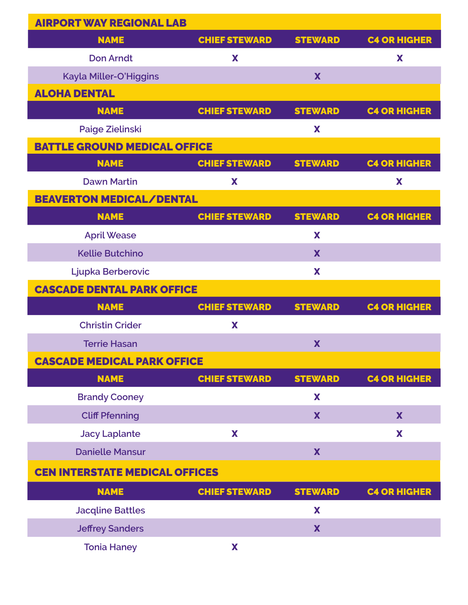| <b>AIRPORT WAY REGIONAL LAB</b>       |                      |                |                     |
|---------------------------------------|----------------------|----------------|---------------------|
| <b>NAME</b>                           | <b>CHIEF STEWARD</b> | <b>STEWARD</b> | <b>C4 OR HIGHER</b> |
| <b>Don Arndt</b>                      | X                    |                | X                   |
| Kayla Miller-O'Higgins                |                      | X              |                     |
| <b>ALOHA DENTAL</b>                   |                      |                |                     |
| <b>NAME</b>                           | <b>CHIEF STEWARD</b> | <b>STEWARD</b> | <b>C4 OR HIGHER</b> |
| Paige Zielinski                       |                      | X              |                     |
| <b>BATTLE GROUND MEDICAL OFFICE</b>   |                      |                |                     |
| <b>NAME</b>                           | <b>CHIEF STEWARD</b> | <b>STEWARD</b> | <b>C4 OR HIGHER</b> |
| <b>Dawn Martin</b>                    | X                    |                | X                   |
| <b>BEAVERTON MEDICAL/DENTAL</b>       |                      |                |                     |
| <b>NAME</b>                           | <b>CHIEF STEWARD</b> | <b>STEWARD</b> | <b>C4 OR HIGHER</b> |
| <b>April Wease</b>                    |                      | X              |                     |
| <b>Kellie Butchino</b>                |                      | X              |                     |
| Ljupka Berberovic                     |                      | X              |                     |
| <b>CASCADE DENTAL PARK OFFICE</b>     |                      |                |                     |
| <b>NAME</b>                           | <b>CHIEF STEWARD</b> | <b>STEWARD</b> | <b>C4 OR HIGHER</b> |
| <b>Christin Crider</b>                | X                    |                |                     |
| <b>Terrie Hasan</b>                   |                      | X              |                     |
| <b>CASCADE MEDICAL PARK OFFICE</b>    |                      |                |                     |
| <b>NAME</b>                           | <b>CHIEF STEWARD</b> | <b>STEWARD</b> | <b>C4 OR HIGHER</b> |
| <b>Brandy Cooney</b>                  |                      | X              |                     |
| <b>Cliff Pfenning</b>                 |                      | X              | X                   |
| <b>Jacy Laplante</b>                  | X                    |                | X                   |
| <b>Danielle Mansur</b>                |                      | X              |                     |
| <b>CEN INTERSTATE MEDICAL OFFICES</b> |                      |                |                     |
| <b>NAME</b>                           | <b>CHIEF STEWARD</b> | <b>STEWARD</b> | <b>C4 OR HIGHER</b> |
| <b>Jacqline Battles</b>               |                      | X              |                     |
| <b>Jeffrey Sanders</b>                |                      | X              |                     |
| <b>Tonia Haney</b>                    | X                    |                |                     |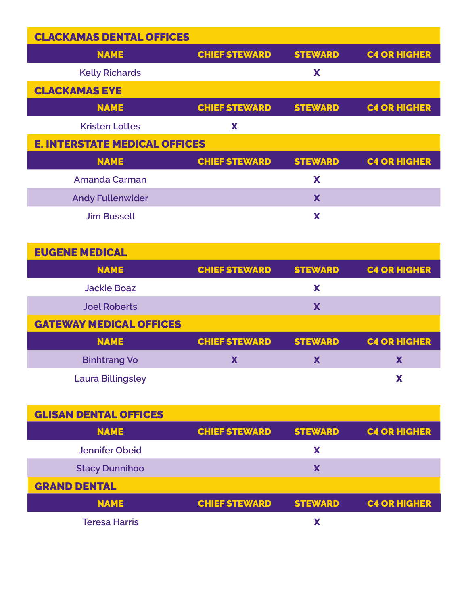| <b>CLACKAMAS DENTAL OFFICES</b>      |                      |                |                     |
|--------------------------------------|----------------------|----------------|---------------------|
| <b>NAME</b>                          | <b>CHIEF STEWARD</b> | <b>STEWARD</b> | <b>C4 OR HIGHER</b> |
| <b>Kelly Richards</b>                |                      | X              |                     |
| <b>CLACKAMAS EYE</b>                 |                      |                |                     |
| <b>NAME</b>                          | <b>CHIEF STEWARD</b> | <b>STEWARD</b> | <b>C4 OR HIGHER</b> |
| <b>Kristen Lottes</b>                | X                    |                |                     |
| <b>E. INTERSTATE MEDICAL OFFICES</b> |                      |                |                     |
| <b>NAME</b>                          | <b>CHIEF STEWARD</b> | <b>STEWARD</b> | <b>C4 OR HIGHER</b> |
| <b>Amanda Carman</b>                 |                      | X              |                     |
| <b>Andy Fullenwider</b>              |                      | X              |                     |
| <b>Jim Bussell</b>                   |                      | X              |                     |

| <b>EUGENE MEDICAL</b>          |                      |                |                     |
|--------------------------------|----------------------|----------------|---------------------|
| <b>NAME</b>                    | <b>CHIEF STEWARD</b> | <b>STEWARD</b> | <b>C4 OR HIGHER</b> |
| <b>Jackie Boaz</b>             |                      | Х              |                     |
| <b>Joel Roberts</b>            |                      | X              |                     |
| <b>GATEWAY MEDICAL OFFICES</b> |                      |                |                     |
| <b>NAME</b>                    | <b>CHIEF STEWARD</b> | <b>STEWARD</b> | <b>C4 OR HIGHER</b> |
| <b>Binhtrang Vo</b>            | X                    | Х              | X                   |
| <b>Laura Billingsley</b>       |                      |                |                     |

| <b>GLISAN DENTAL OFFICES</b> |                      |                |                     |
|------------------------------|----------------------|----------------|---------------------|
| <b>NAME</b>                  | <b>CHIEF STEWARD</b> | <b>STEWARD</b> | <b>C4 OR HIGHER</b> |
| <b>Jennifer Obeid</b>        |                      | X              |                     |
| <b>Stacy Dunnihoo</b>        |                      | X              |                     |
| <b>GRAND DENTAL</b>          |                      |                |                     |
| <b>NAME</b>                  | <b>CHIEF STEWARD</b> | <b>STEWARD</b> | <b>C4 OR HIGHER</b> |
| <b>Teresa Harris</b>         |                      |                |                     |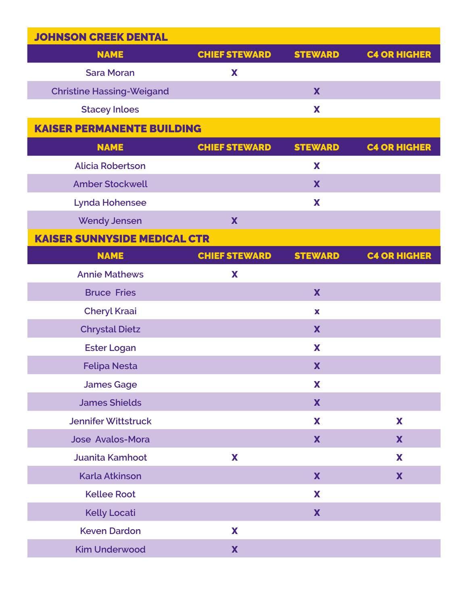| <b>JOHNSON CREEK DENTAL</b>         |                      |                |                     |
|-------------------------------------|----------------------|----------------|---------------------|
| <b>NAME</b>                         | <b>CHIEF STEWARD</b> | <b>STEWARD</b> | <b>C4 OR HIGHER</b> |
| <b>Sara Moran</b>                   | X                    |                |                     |
| <b>Christine Hassing-Weigand</b>    |                      | X              |                     |
| <b>Stacey Inloes</b>                |                      | X              |                     |
| <b>KAISER PERMANENTE BUILDING</b>   |                      |                |                     |
| <b>NAME</b>                         | <b>CHIEF STEWARD</b> | <b>STEWARD</b> | <b>C4 OR HIGHER</b> |
| <b>Alicia Robertson</b>             |                      | X              |                     |
| <b>Amber Stockwell</b>              |                      | X              |                     |
| <b>Lynda Hohensee</b>               |                      | X              |                     |
| <b>Wendy Jensen</b>                 | X                    |                |                     |
| <b>KAISER SUNNYSIDE MEDICAL CTR</b> |                      |                |                     |
| <b>NAME</b>                         | <b>CHIEF STEWARD</b> | <b>STEWARD</b> | <b>C4 OR HIGHER</b> |
| <b>Annie Mathews</b>                | X                    |                |                     |
| <b>Bruce Fries</b>                  |                      | X              |                     |
| <b>Cheryl Kraai</b>                 |                      | $\mathbf x$    |                     |
| <b>Chrystal Dietz</b>               |                      | X              |                     |
| <b>Ester Logan</b>                  |                      | X              |                     |
| <b>Felipa Nesta</b>                 |                      | X              |                     |
| <b>James Gage</b>                   |                      | X              |                     |
| <b>James Shields</b>                |                      | X              |                     |
| <b>Jennifer Wittstruck</b>          |                      | X              | X                   |
| <b>Jose Avalos-Mora</b>             |                      | X              | X                   |
| Juanita Kamhoot                     | X                    |                | X                   |
| <b>Karla Atkinson</b>               |                      | X              | X                   |
| <b>Kellee Root</b>                  |                      | X              |                     |
| <b>Kelly Locati</b>                 |                      | X              |                     |
| <b>Keven Dardon</b>                 | X                    |                |                     |
| <b>Kim Underwood</b>                | X                    |                |                     |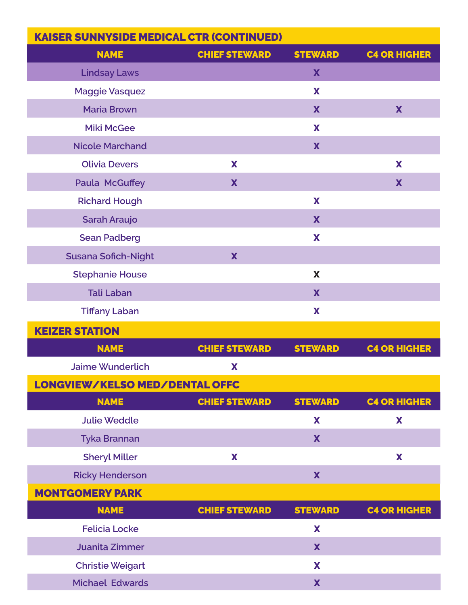| <b>KAISER SUNNYSIDE MEDICAL CTR (CONTINUED)</b> |                      |                |                     |
|-------------------------------------------------|----------------------|----------------|---------------------|
| <b>NAME</b>                                     | <b>CHIEF STEWARD</b> | <b>STEWARD</b> | <b>C4 OR HIGHER</b> |
| <b>Lindsay Laws</b>                             |                      | X              |                     |
| <b>Maggie Vasquez</b>                           |                      | X              |                     |
| <b>Maria Brown</b>                              |                      | X              | X                   |
| <b>Miki McGee</b>                               |                      | X              |                     |
| <b>Nicole Marchand</b>                          |                      | X              |                     |
| <b>Olivia Devers</b>                            | X                    |                | X                   |
| <b>Paula McGuffey</b>                           | X                    |                | X                   |
| <b>Richard Hough</b>                            |                      | X              |                     |
| Sarah Araujo                                    |                      | X              |                     |
| <b>Sean Padberg</b>                             |                      | X              |                     |
| <b>Susana Sofich-Night</b>                      | X                    |                |                     |
| <b>Stephanie House</b>                          |                      | X              |                     |
| <b>Tali Laban</b>                               |                      | X              |                     |
| <b>Tiffany Laban</b>                            |                      | X              |                     |
| <b>KEIZER STATION</b>                           |                      |                |                     |
| <b>NAME</b>                                     | <b>CHIEF STEWARD</b> | <b>STEWARD</b> | <b>C4 OR HIGHER</b> |
| <b>Jaime Wunderlich</b>                         | X                    |                |                     |
| LONGVIEW/KELSO MED/DENTAL OFFC                  |                      |                |                     |
| <b>NAME</b>                                     | <b>CHIEF STEWARD</b> | <b>STEWARD</b> | <b>C4 OR HIGHER</b> |
| <b>Julie Weddle</b>                             |                      | X              | X                   |
| <b>Tyka Brannan</b>                             |                      | X              |                     |
| <b>Sheryl Miller</b>                            | X                    |                | X                   |
| <b>Ricky Henderson</b>                          |                      | X              |                     |
| <b>MONTGOMERY PARK</b>                          |                      |                |                     |
| <b>NAME</b>                                     | <b>CHIEF STEWARD</b> | <b>STEWARD</b> | <b>C4 OR HIGHER</b> |
| <b>Felicia Locke</b>                            |                      | X              |                     |
| <b>Juanita Zimmer</b>                           |                      | X              |                     |
| <b>Christie Weigart</b>                         |                      | X              |                     |
| <b>Michael Edwards</b>                          |                      | X              |                     |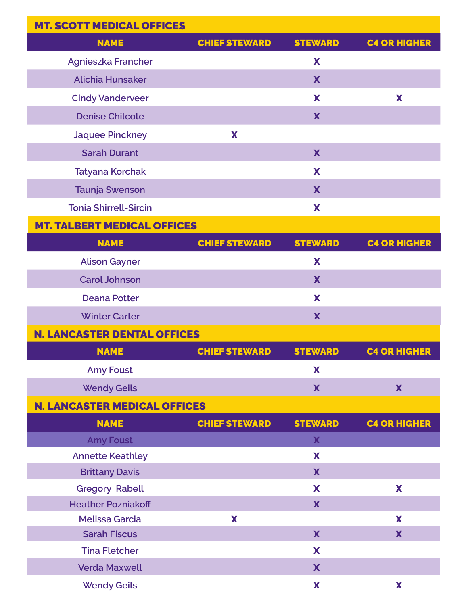| <b>MT. SCOTT MEDICAL OFFICES</b>    |                      |                |                     |
|-------------------------------------|----------------------|----------------|---------------------|
| <b>NAME</b>                         | <b>CHIEF STEWARD</b> | <b>STEWARD</b> | <b>C4 OR HIGHER</b> |
| <b>Agnieszka Francher</b>           |                      | X              |                     |
| <b>Alichia Hunsaker</b>             |                      | X              |                     |
| <b>Cindy Vanderveer</b>             |                      | X              | X                   |
| <b>Denise Chilcote</b>              |                      | X              |                     |
| <b>Jaquee Pinckney</b>              | X                    |                |                     |
| <b>Sarah Durant</b>                 |                      | X              |                     |
| <b>Tatyana Korchak</b>              |                      | X              |                     |
| <b>Taunja Swenson</b>               |                      | X              |                     |
| <b>Tonia Shirrell-Sircin</b>        |                      | X              |                     |
| <b>MT. TALBERT MEDICAL OFFICES</b>  |                      |                |                     |
| <b>NAME</b>                         | <b>CHIEF STEWARD</b> | <b>STEWARD</b> | <b>C4 OR HIGHER</b> |
| <b>Alison Gayner</b>                |                      | X              |                     |
| <b>Carol Johnson</b>                |                      | X              |                     |
| <b>Deana Potter</b>                 |                      | X              |                     |
| <b>Winter Carter</b>                |                      | X              |                     |
| <b>N. LANCASTER DENTAL OFFICES</b>  |                      |                |                     |
| <b>NAME</b>                         | <b>CHIEF STEWARD</b> | <b>STEWARD</b> | <b>C4 OR HIGHER</b> |
| <b>Amy Foust</b>                    |                      | X              |                     |
| <b>Wendy Geils</b>                  |                      | X              | X                   |
| <b>N. LANCASTER MEDICAL OFFICES</b> |                      |                |                     |
| <b>NAME</b>                         | <b>CHIEF STEWARD</b> | <b>STEWARD</b> | <b>C4 OR HIGHER</b> |
| <b>Amy Foust</b>                    |                      | X              |                     |
| <b>Annette Keathley</b>             |                      | X              |                     |
| <b>Brittany Davis</b>               |                      | X              |                     |
| <b>Gregory Rabell</b>               |                      | X              | X                   |
| <b>Heather Pozniakoff</b>           |                      | X              |                     |
| <b>Melissa Garcia</b>               | X                    |                | X                   |
| <b>Sarah Fiscus</b>                 |                      | X              | X                   |
| <b>Tina Fletcher</b>                |                      | X              |                     |
| <b>Verda Maxwell</b>                |                      | X              |                     |
| <b>Wendy Geils</b>                  |                      | X              | X                   |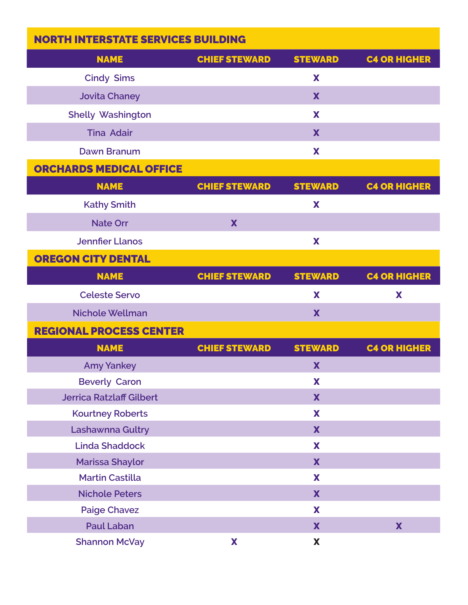| <b>NORTH INTERSTATE SERVICES BUILDING</b> |                      |                |                     |
|-------------------------------------------|----------------------|----------------|---------------------|
| <b>NAME</b>                               | <b>CHIEF STEWARD</b> | <b>STEWARD</b> | <b>C4 OR HIGHER</b> |
| <b>Cindy Sims</b>                         |                      | X              |                     |
| <b>Jovita Chaney</b>                      |                      | X              |                     |
| <b>Shelly Washington</b>                  |                      | X              |                     |
| <b>Tina Adair</b>                         |                      | X              |                     |
| <b>Dawn Branum</b>                        |                      | X              |                     |
| <b>ORCHARDS MEDICAL OFFICE</b>            |                      |                |                     |
| <b>NAME</b>                               | <b>CHIEF STEWARD</b> | <b>STEWARD</b> | <b>C4 OR HIGHER</b> |
| <b>Kathy Smith</b>                        |                      | X              |                     |
| <b>Nate Orr</b>                           | X                    |                |                     |
| <b>Jennfier Llanos</b>                    |                      | X              |                     |
| <b>OREGON CITY DENTAL</b>                 |                      |                |                     |
| <b>NAME</b>                               | <b>CHIEF STEWARD</b> | <b>STEWARD</b> | <b>C4 OR HIGHER</b> |
| <b>Celeste Servo</b>                      |                      | X              | X                   |
| <b>Nichole Wellman</b>                    |                      | X              |                     |
| <b>REGIONAL PROCESS CENTER</b>            |                      |                |                     |
| <b>NAME</b>                               | <b>CHIEF STEWARD</b> | <b>STEWARD</b> | <b>C4 OR HIGHER</b> |
| <b>Amy Yankey</b>                         |                      | X              |                     |
| <b>Beverly Caron</b>                      |                      | X              |                     |
| <b>Jerrica Ratzlaff Gilbert</b>           |                      | X              |                     |
| <b>Kourtney Roberts</b>                   |                      | X              |                     |
| Lashawnna Gultry                          |                      | X              |                     |
| <b>Linda Shaddock</b>                     |                      | X              |                     |
| <b>Marissa Shaylor</b>                    |                      | X              |                     |
| <b>Martin Castilla</b>                    |                      | X              |                     |
| <b>Nichole Peters</b>                     |                      | X              |                     |
| <b>Paige Chavez</b>                       |                      | X              |                     |
| <b>Paul Laban</b>                         |                      | X              | X                   |
| <b>Shannon McVay</b>                      | X                    | X              |                     |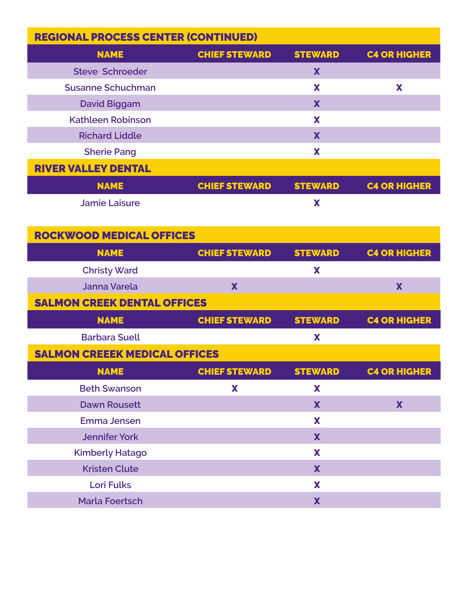| <b>REGIONAL PROCESS CENTER (CONTINUED)</b> |                      |                |                     |
|--------------------------------------------|----------------------|----------------|---------------------|
| <b>NAME</b>                                | <b>CHIEF STEWARD</b> | <b>STEWARD</b> | <b>C4 OR HIGHER</b> |
| <b>Steve Schroeder</b>                     |                      | X              |                     |
| <b>Susanne Schuchman</b>                   |                      | X              | X                   |
| <b>David Biggam</b>                        |                      | X              |                     |
| <b>Kathleen Robinson</b>                   |                      | X              |                     |
| <b>Richard Liddle</b>                      |                      | X              |                     |
| <b>Sherie Pang</b>                         |                      | X              |                     |
| <b>RIVER VALLEY DENTAL</b>                 |                      |                |                     |
| <b>NAME</b>                                | <b>CHIEF STEWARD</b> | <b>STEWARD</b> | <b>C4 OR HIGHER</b> |
| <b>Jamie Laisure</b>                       |                      | X              |                     |
|                                            |                      |                |                     |
| <b>ROCKWOOD MEDICAL OFFICES</b>            |                      |                |                     |
| <b>NAME</b>                                | <b>CHIEF STEWARD</b> | <b>STEWARD</b> | <b>C4 OR HIGHER</b> |
| <b>Christy Ward</b>                        |                      | X              |                     |
| <b>Janna Varela</b>                        | X                    |                | X                   |
| <b>SALMON CREEK DENTAL OFFICES</b>         |                      |                |                     |
| <b>NAME</b>                                | <b>CHIEF STEWARD</b> | <b>STEWARD</b> | <b>C4 OR HIGHER</b> |
| <b>Barbara Suell</b>                       |                      | X              |                     |
| <b>SALMON CREEEK MEDICAL OFFICES</b>       |                      |                |                     |
| <b>NAME</b>                                | <b>CHIEF STEWARD</b> | <b>STEWARD</b> | <b>C4 OR HIGHER</b> |
| <b>Beth Swanson</b>                        | X                    | X              |                     |
| <b>Dawn Rousett</b>                        |                      | X              | X                   |
| <b>Emma Jensen</b>                         |                      | X              |                     |
| <b>Jennifer York</b>                       |                      | X              |                     |
| <b>Kimberly Hatago</b>                     |                      | X              |                     |
| <b>Kristen Clute</b>                       |                      | X              |                     |
| <b>Lori Fulks</b>                          |                      | X              |                     |
| <b>Marla Foertsch</b>                      |                      | X              |                     |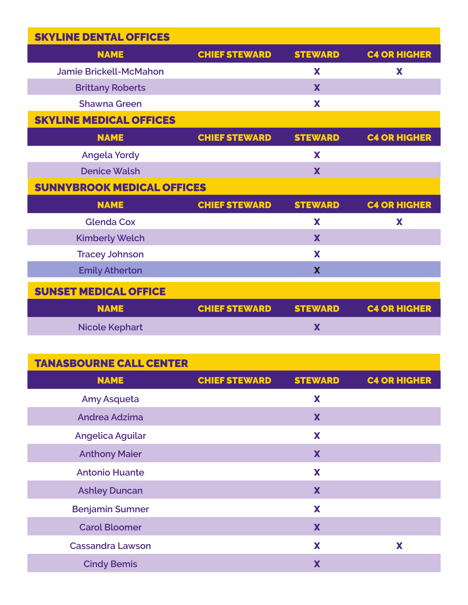| <b>SKYLINE DENTAL OFFICES</b>     |                      |                |                     |
|-----------------------------------|----------------------|----------------|---------------------|
| <b>NAME</b>                       | <b>CHIEF STEWARD</b> | <b>STEWARD</b> | <b>C4 OR HIGHER</b> |
| <b>Jamie Brickell-McMahon</b>     |                      | X              | X                   |
| <b>Brittany Roberts</b>           |                      | X              |                     |
| <b>Shawna Green</b>               |                      | X              |                     |
| <b>SKYLINE MEDICAL OFFICES</b>    |                      |                |                     |
| <b>NAME</b>                       | <b>CHIEF STEWARD</b> | <b>STEWARD</b> | <b>C4 OR HIGHER</b> |
| <b>Angela Yordy</b>               |                      | X              |                     |
| <b>Denice Walsh</b>               |                      | X              |                     |
| <b>SUNNYBROOK MEDICAL OFFICES</b> |                      |                |                     |
|                                   |                      |                |                     |
| <b>NAME</b>                       | <b>CHIEF STEWARD</b> | <b>STEWARD</b> | <b>C4 OR HIGHER</b> |
| <b>Glenda Cox</b>                 |                      | X              | X                   |
| <b>Kimberly Welch</b>             |                      | X              |                     |
| <b>Tracey Johnson</b>             |                      | X              |                     |
| <b>Emily Atherton</b>             |                      | X              |                     |
| <b>SUNSET MEDICAL OFFICE</b>      |                      |                |                     |
| <b>NAME</b>                       | <b>CHIEF STEWARD</b> | <b>STEWARD</b> | <b>C4 OR HIGHER</b> |

## TANASBOURNE CALL CENTER

| <b>NAME</b>             | <b>CHIEF STEWARD</b> | <b>STEWARD</b> | <b>C4 OR HIGHER</b> |
|-------------------------|----------------------|----------------|---------------------|
| <b>Amy Asqueta</b>      |                      | X              |                     |
| Andrea Adzima           |                      | X              |                     |
| <b>Angelica Aguilar</b> |                      | X              |                     |
| <b>Anthony Maier</b>    |                      | X              |                     |
| <b>Antonio Huante</b>   |                      | X              |                     |
| <b>Ashley Duncan</b>    |                      | X              |                     |
| <b>Benjamin Sumner</b>  |                      | X              |                     |
| <b>Carol Bloomer</b>    |                      | X              |                     |
| <b>Cassandra Lawson</b> |                      | X              | X                   |
| <b>Cindy Bemis</b>      |                      | X              |                     |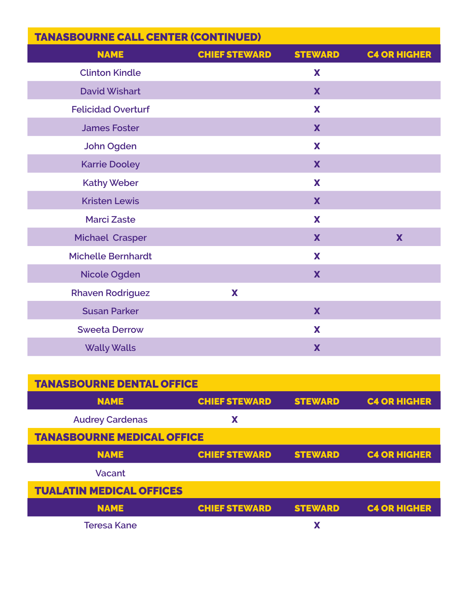| <b>TANASBOURNE CALL CENTER (CONTINUED)</b> |                      |                |                     |
|--------------------------------------------|----------------------|----------------|---------------------|
| <b>NAME</b>                                | <b>CHIEF STEWARD</b> | <b>STEWARD</b> | <b>C4 OR HIGHER</b> |
| <b>Clinton Kindle</b>                      |                      | X              |                     |
| <b>David Wishart</b>                       |                      | X              |                     |
| <b>Felicidad Overturf</b>                  |                      | X              |                     |
| <b>James Foster</b>                        |                      | X              |                     |
| <b>John Ogden</b>                          |                      | X              |                     |
| <b>Karrie Dooley</b>                       |                      | X              |                     |
| <b>Kathy Weber</b>                         |                      | X              |                     |
| <b>Kristen Lewis</b>                       |                      | X              |                     |
| <b>Marci Zaste</b>                         |                      | X              |                     |
| <b>Michael Crasper</b>                     |                      | X              | X                   |
| <b>Michelle Bernhardt</b>                  |                      | X              |                     |
| <b>Nicole Ogden</b>                        |                      | X              |                     |
| <b>Rhaven Rodriguez</b>                    | X                    |                |                     |
| <b>Susan Parker</b>                        |                      | X              |                     |
| <b>Sweeta Derrow</b>                       |                      | X              |                     |
| <b>Wally Walls</b>                         |                      | X              |                     |

| <b>TANASBOURNE DENTAL OFFICE</b>  |                      |                |                     |
|-----------------------------------|----------------------|----------------|---------------------|
| <b>NAME</b>                       | <b>CHIEF STEWARD</b> | <b>STEWARD</b> | <b>C4 OR HIGHER</b> |
| <b>Audrey Cardenas</b>            | Х                    |                |                     |
| <b>TANASBOURNE MEDICAL OFFICE</b> |                      |                |                     |
| <b>NAME</b>                       | <b>CHIEF STEWARD</b> | <b>STEWARD</b> | <b>C4 OR HIGHER</b> |
| Vacant                            |                      |                |                     |
| <b>TUALATIN MEDICAL OFFICES</b>   |                      |                |                     |
| <b>NAME</b>                       | <b>CHIEF STEWARD</b> | <b>STEWARD</b> | <b>C4 OR HIGHER</b> |
| <b>Teresa Kane</b>                |                      |                |                     |